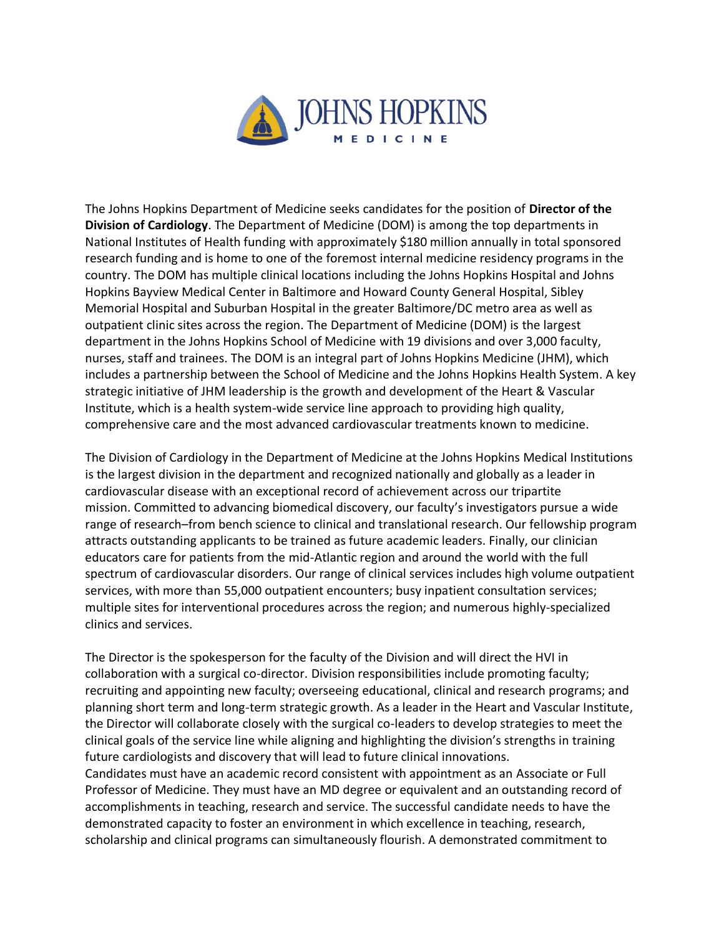

The Johns Hopkins Department of Medicine seeks candidates for the position of **Director of the Division of Cardiology**. The Department of Medicine (DOM) is among the top departments in National Institutes of Health funding with approximately \$180 million annually in total sponsored research funding and is home to one of the foremost internal medicine residency programs in the country. The DOM has multiple clinical locations including the Johns Hopkins Hospital and Johns Hopkins Bayview Medical Center in Baltimore and Howard County General Hospital, Sibley Memorial Hospital and Suburban Hospital in the greater Baltimore/DC metro area as well as outpatient clinic sites across the region. The Department of Medicine (DOM) is the largest department in the Johns Hopkins School of Medicine with 19 divisions and over 3,000 faculty, nurses, staff and trainees. The DOM is an integral part of Johns Hopkins Medicine (JHM), which includes a partnership between the School of Medicine and the Johns Hopkins Health System. A key strategic initiative of JHM leadership is the growth and development of the Heart & Vascular Institute, which is a health system-wide service line approach to providing high quality, comprehensive care and the most advanced cardiovascular treatments known to medicine.

The Division of Cardiology in the Department of Medicine at the Johns Hopkins Medical Institutions is the largest division in the department and recognized nationally and globally as a leader in cardiovascular disease with an exceptional record of achievement across our tripartite mission. Committed to advancing biomedical discovery, our faculty's investigators pursue a wide range of research–from bench science to clinical and translational research. Our fellowship program attracts outstanding applicants to be trained as future academic leaders. Finally, our clinician educators care for patients from the mid-Atlantic region and around the world with the full spectrum of cardiovascular disorders. Our range of clinical services includes high volume outpatient services, with more than 55,000 outpatient encounters; busy inpatient consultation services; multiple sites for interventional procedures across the region; and numerous highly-specialized clinics and services.

The Director is the spokesperson for the faculty of the Division and will direct the HVI in collaboration with a surgical co-director. Division responsibilities include promoting faculty; recruiting and appointing new faculty; overseeing educational, clinical and research programs; and planning short term and long-term strategic growth. As a leader in the Heart and Vascular Institute, the Director will collaborate closely with the surgical co-leaders to develop strategies to meet the clinical goals of the service line while aligning and highlighting the division's strengths in training future cardiologists and discovery that will lead to future clinical innovations. Candidates must have an academic record consistent with appointment as an Associate or Full Professor of Medicine. They must have an MD degree or equivalent and an outstanding record of accomplishments in teaching, research and service. The successful candidate needs to have the demonstrated capacity to foster an environment in which excellence in teaching, research, scholarship and clinical programs can simultaneously flourish. A demonstrated commitment to